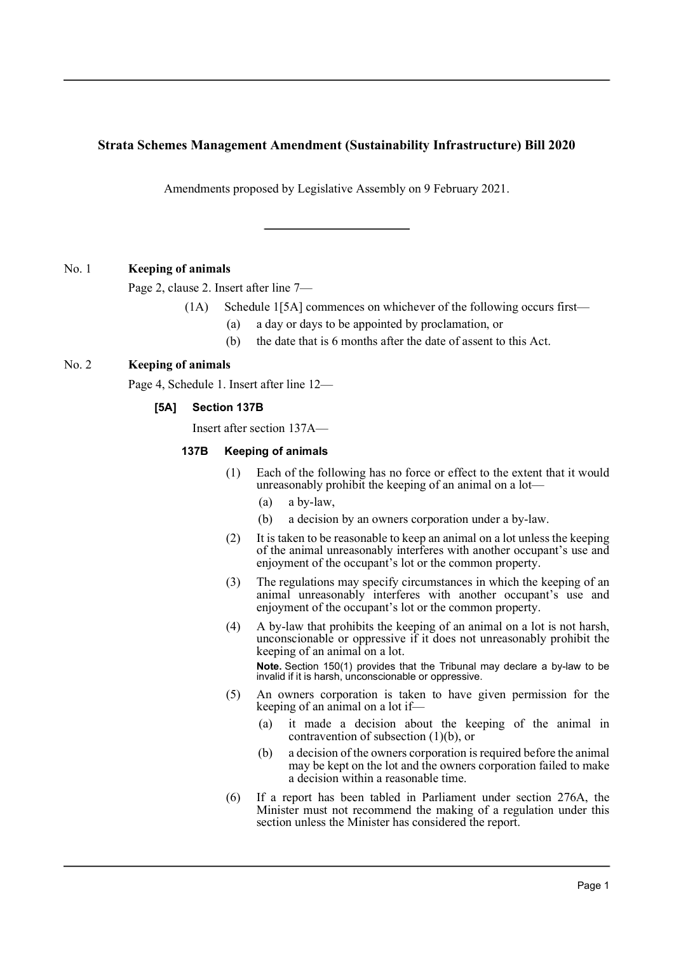# **Strata Schemes Management Amendment (Sustainability Infrastructure) Bill 2020**

Amendments proposed by Legislative Assembly on 9 February 2021.

## No. 1 **Keeping of animals**

Page 2, clause 2. Insert after line 7—

- (1A) Schedule 1[5A] commences on whichever of the following occurs first—
	- (a) a day or days to be appointed by proclamation, or
	- (b) the date that is 6 months after the date of assent to this Act.

## No. 2 **Keeping of animals**

Page 4, Schedule 1. Insert after line 12—

## **[5A] Section 137B**

Insert after section 137A—

#### **137B Keeping of animals**

- (1) Each of the following has no force or effect to the extent that it would unreasonably prohibit the keeping of an animal on a lot—
	- (a) a by-law,
	- (b) a decision by an owners corporation under a by-law.
- (2) It is taken to be reasonable to keep an animal on a lot unless the keeping of the animal unreasonably interferes with another occupant's use and enjoyment of the occupant's lot or the common property.
- (3) The regulations may specify circumstances in which the keeping of an animal unreasonably interferes with another occupant's use and enjoyment of the occupant's lot or the common property.
- (4) A by-law that prohibits the keeping of an animal on a lot is not harsh, unconscionable or oppressive if it does not unreasonably prohibit the keeping of an animal on a lot. **Note.** Section 150(1) provides that the Tribunal may declare a by-law to be invalid if it is harsh, unconscionable or oppressive.
- (5) An owners corporation is taken to have given permission for the keeping of an animal on a lot if—
	- (a) it made a decision about the keeping of the animal in contravention of subsection (1)(b), or
	- (b) a decision of the owners corporation is required before the animal may be kept on the lot and the owners corporation failed to make a decision within a reasonable time.
- (6) If a report has been tabled in Parliament under section 276A, the Minister must not recommend the making of a regulation under this section unless the Minister has considered the report.